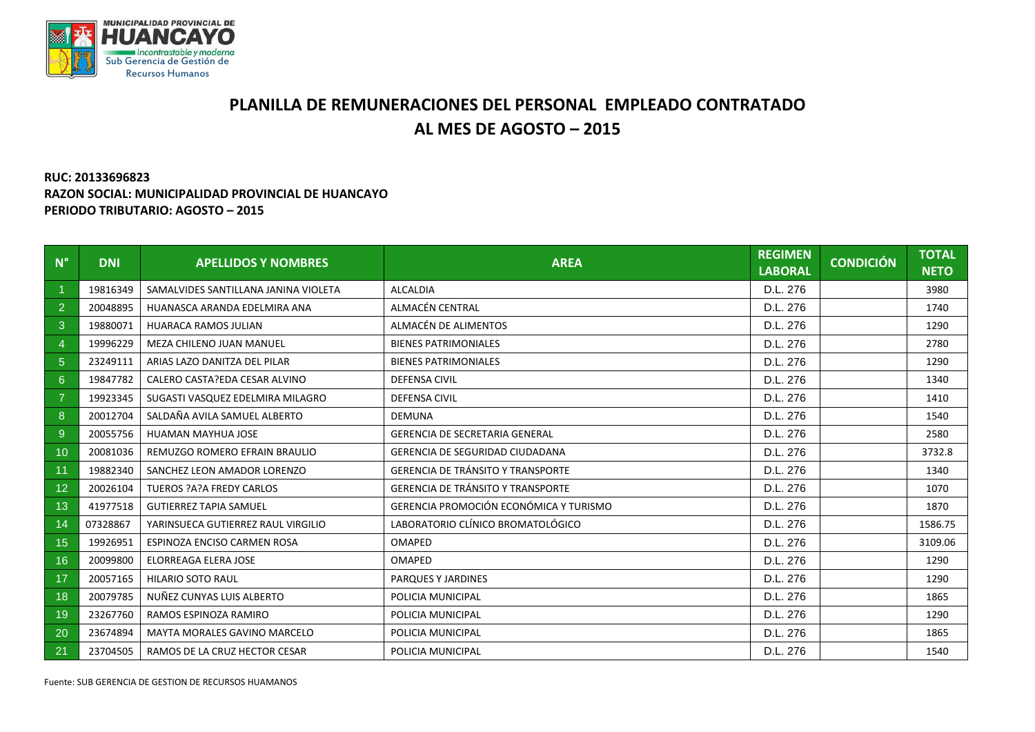

## **PLANILLA DE REMUNERACIONES DEL PERSONAL EMPLEADO CONTRATADO AL MES DE AGOSTO – 2015**

## **RUC: 20133696823 RAZON SOCIAL: MUNICIPALIDAD PROVINCIAL DE HUANCAYO PERIODO TRIBUTARIO: AGOSTO – 2015**

| $N^{\circ}$    | <b>DNI</b> | <b>APELLIDOS Y NOMBRES</b>           | <b>AREA</b>                              | <b>REGIMEN</b><br><b>LABORAL</b> | <b>CONDICIÓN</b> | <b>TOTAL</b><br><b>NETO</b> |
|----------------|------------|--------------------------------------|------------------------------------------|----------------------------------|------------------|-----------------------------|
|                | 19816349   | SAMALVIDES SANTILLANA JANINA VIOLETA | <b>ALCALDIA</b>                          | D.L. 276                         |                  | 3980                        |
| $\overline{2}$ | 20048895   | HUANASCA ARANDA EDELMIRA ANA         | ALMACÉN CENTRAL                          | D.L. 276                         |                  | 1740                        |
| 3              | 19880071   | <b>HUARACA RAMOS JULIAN</b>          | ALMACÉN DE ALIMENTOS                     | D.L. 276                         |                  | 1290                        |
| 4              | 19996229   | MEZA CHILENO JUAN MANUEL             | <b>BIENES PATRIMONIALES</b>              | D.L. 276                         |                  | 2780                        |
| 5              | 23249111   | ARIAS LAZO DANITZA DEL PILAR         | <b>BIENES PATRIMONIALES</b>              | D.L. 276                         |                  | 1290                        |
| $6^{\circ}$    | 19847782   | CALERO CASTA?EDA CESAR ALVINO        | <b>DEFENSA CIVIL</b>                     | D.L. 276                         |                  | 1340                        |
| $\overline{7}$ | 19923345   | SUGASTI VASQUEZ EDELMIRA MILAGRO     | <b>DEFENSA CIVIL</b>                     | D.L. 276                         |                  | 1410                        |
| 8              | 20012704   | SALDAÑA AVILA SAMUEL ALBERTO         | <b>DEMUNA</b>                            | D.L. 276                         |                  | 1540                        |
| $9\,$          | 20055756   | HUAMAN MAYHUA JOSE                   | <b>GERENCIA DE SECRETARIA GENERAL</b>    | D.L. 276                         |                  | 2580                        |
| 10             | 20081036   | REMUZGO ROMERO EFRAIN BRAULIO        | <b>GERENCIA DE SEGURIDAD CIUDADANA</b>   | D.L. 276                         |                  | 3732.8                      |
| 11             | 19882340   | SANCHEZ LEON AMADOR LORENZO          | <b>GERENCIA DE TRÁNSITO Y TRANSPORTE</b> | D.L. 276                         |                  | 1340                        |
| 12             | 20026104   | <b>TUEROS ?A?A FREDY CARLOS</b>      | <b>GERENCIA DE TRÁNSITO Y TRANSPORTE</b> | D.L. 276                         |                  | 1070                        |
| 13             | 41977518   | <b>GUTIERREZ TAPIA SAMUEL</b>        | GERENCIA PROMOCIÓN ECONÓMICA Y TURISMO   | D.L. 276                         |                  | 1870                        |
| 14             | 07328867   | YARINSUECA GUTIERREZ RAUL VIRGILIO   | LABORATORIO CLÍNICO BROMATOLÓGICO        | D.L. 276                         |                  | 1586.75                     |
| 15             | 19926951   | ESPINOZA ENCISO CARMEN ROSA          | <b>OMAPED</b>                            | D.L. 276                         |                  | 3109.06                     |
| 16             | 20099800   | ELORREAGA ELERA JOSE                 | OMAPED                                   | D.L. 276                         |                  | 1290                        |
| 17             | 20057165   | <b>HILARIO SOTO RAUL</b>             | PARQUES Y JARDINES                       | D.L. 276                         |                  | 1290                        |
| 18             | 20079785   | NUÑEZ CUNYAS LUIS ALBERTO            | POLICIA MUNICIPAL                        | D.L. 276                         |                  | 1865                        |
| 19             | 23267760   | RAMOS ESPINOZA RAMIRO                | POLICIA MUNICIPAL                        | D.L. 276                         |                  | 1290                        |
| 20             | 23674894   | <b>MAYTA MORALES GAVINO MARCELO</b>  | POLICIA MUNICIPAL                        | D.L. 276                         |                  | 1865                        |
| 21             | 23704505   | RAMOS DE LA CRUZ HECTOR CESAR        | POLICIA MUNICIPAL                        | D.L. 276                         |                  | 1540                        |